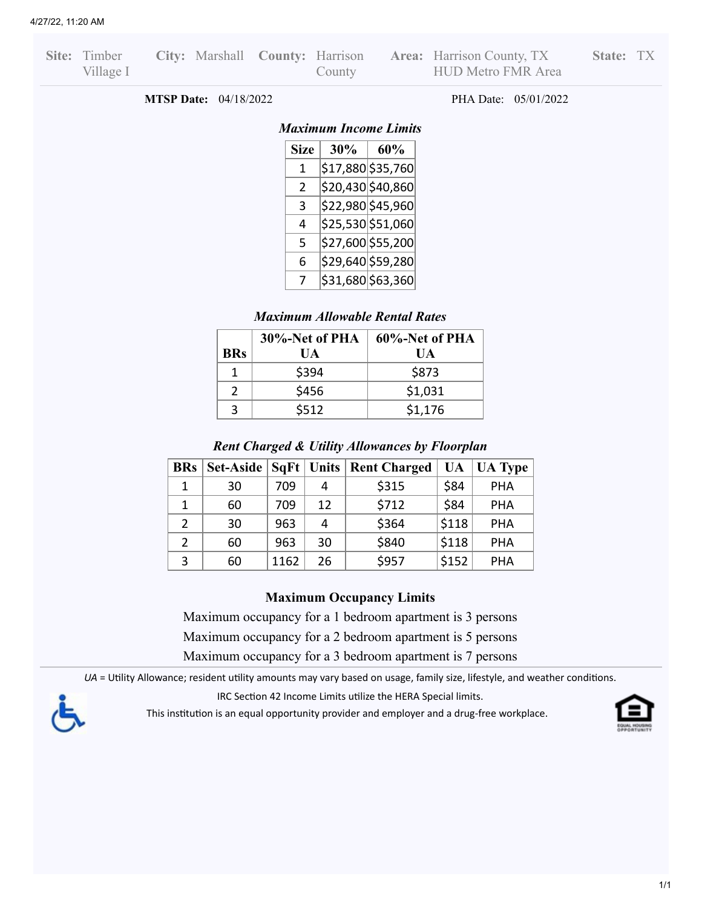| Site: Timber |  |        | City: Marshall County: Harrison Area: Harrison County, TX | State: T |  |
|--------------|--|--------|-----------------------------------------------------------|----------|--|
| Village I    |  | County | HUD Metro FMR Area                                        |          |  |

**MTSP Date:** 04/18/2022 PHA Date: 05/01/2022

### *Maximum Income Limits*

| Size | 30% | 60%               |
|------|-----|-------------------|
| 1    |     | \$17,880 \$35,760 |
| 2    |     | \$20,430 \$40,860 |
| 3    |     | \$22,980 \$45,960 |
| 4    |     | \$25,530 \$51,060 |
| 5    |     | \$27,600 \$55,200 |
| 6    |     | \$29,640 \$59,280 |
| 7    |     | \$31,680 \$63,360 |

## *Maximum Allowable Rental Rates*

|               | 30%-Net of PHA | 60%-Net of PHA |
|---------------|----------------|----------------|
| <b>BRs</b>    | UА             | UA             |
|               | \$394          | \$873          |
| $\mathcal{P}$ | \$456          | \$1,031        |
|               | \$512          | \$1,176        |

### *Rent Charged & Utility Allowances by Floorplan*

| <b>BRs</b>     | Set-Aside $ SqFt $ Units |      |    | <b>Rent Charged</b> | UA    | <b>UA Type</b> |
|----------------|--------------------------|------|----|---------------------|-------|----------------|
| 1              | 30                       | 709  | 4  | \$315               | \$84  | <b>PHA</b>     |
| 1              | 60                       | 709  | 12 | \$712               | \$84  | <b>PHA</b>     |
| $\overline{2}$ | 30                       | 963  | 4  | \$364               | \$118 | <b>PHA</b>     |
| 2              | 60                       | 963  | 30 | \$840               | \$118 | <b>PHA</b>     |
| 3              | 60                       | 1162 | 26 | \$957               | \$152 | <b>PHA</b>     |

### **Maximum Occupancy Limits**

Maximum occupancy for a 1 bedroom apartment is 3 persons

Maximum occupancy for a 2 bedroom apartment is 5 persons

Maximum occupancy for a 3 bedroom apartment is 7 persons

*UA* = Utility Allowance; resident utility amounts may vary based on usage, family size, lifestyle, and weather conditions.

IRC Section 42 Income Limits utilize the HERA Special limits.